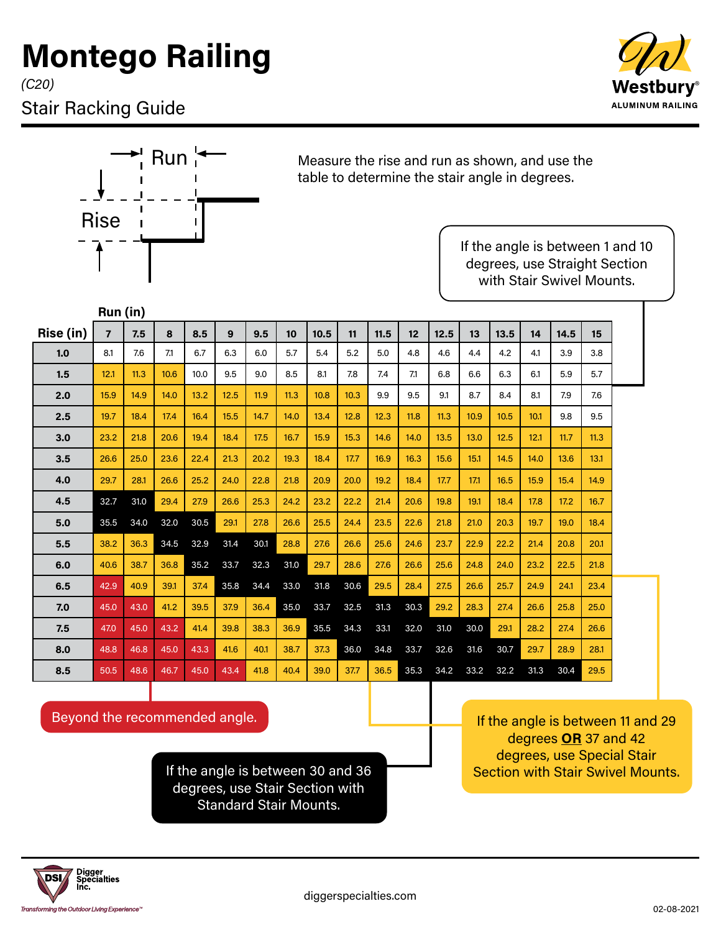## **Montego Railing**

*(C20)*

## Stair Racking Guide





 $\mathsf{Run}^{\mathsf{H}}$  Measure the rise and run as shown, and use the table to determine the stair angle in degrees.

> If the angle is between 1 and 10 degrees, use Straight Section with Stair Swivel Mounts.

|           | Run (in)       |      |      |      |      |      |      |      |      |      |      |      |      |      |      |      |      |  |
|-----------|----------------|------|------|------|------|------|------|------|------|------|------|------|------|------|------|------|------|--|
| Rise (in) | $\overline{7}$ | 7.5  | 8    | 8.5  | 9    | 9.5  | 10   | 10.5 | 11   | 11.5 | 12   | 12.5 | 13   | 13.5 | 14   | 14.5 | 15   |  |
| 1.0       | 8.1            | 7.6  | 7.1  | 6.7  | 6.3  | 6.0  | 5.7  | 5.4  | 5.2  | 5.0  | 4.8  | 4.6  | 4.4  | 4.2  | 4.1  | 3.9  | 3.8  |  |
| 1.5       | 12.1           | 11.3 | 10.6 | 10.0 | 9.5  | 9.0  | 8.5  | 8.1  | 7.8  | 7.4  | 7.1  | 6.8  | 6.6  | 6.3  | 6.1  | 5.9  | 5.7  |  |
| 2.0       | 15.9           | 14.9 | 14.0 | 13.2 | 12.5 | 11.9 | 11.3 | 10.8 | 10.3 | 9.9  | 9.5  | 9.1  | 8.7  | 8.4  | 8.1  | 7.9  | 7.6  |  |
| 2.5       | 19.7           | 18.4 | 17.4 | 16.4 | 15.5 | 14.7 | 14.0 | 13.4 | 12.8 | 12.3 | 11.8 | 11.3 | 10.9 | 10.5 | 10.1 | 9.8  | 9.5  |  |
| 3.0       | 23.2           | 21.8 | 20.6 | 19.4 | 18.4 | 17.5 | 16.7 | 15.9 | 15.3 | 14.6 | 14.0 | 13.5 | 13.0 | 12.5 | 12.1 | 11.7 | 11.3 |  |
| 3.5       | 26.6           | 25.0 | 23.6 | 22.4 | 21.3 | 20.2 | 19.3 | 18.4 | 17.7 | 16.9 | 16.3 | 15.6 | 15.1 | 14.5 | 14.0 | 13.6 | 13.1 |  |
| 4.0       | 29.7           | 28.1 | 26.6 | 25.2 | 24.0 | 22.8 | 21.8 | 20.9 | 20.0 | 19.2 | 18.4 | 17.7 | 17.1 | 16.5 | 15.9 | 15.4 | 14.9 |  |
| 4.5       | 32.7           | 31.0 | 29.4 | 27.9 | 26.6 | 25.3 | 24.2 | 23.2 | 22.2 | 21.4 | 20.6 | 19.8 | 19.1 | 18.4 | 17.8 | 17.2 | 16.7 |  |
| 5.0       | 35.5           | 34.0 | 32.0 | 30.5 | 29.1 | 27.8 | 26.6 | 25.5 | 24.4 | 23.5 | 22.6 | 21.8 | 21.0 | 20.3 | 19.7 | 19.0 | 18.4 |  |
| 5.5       | 38.2           | 36.3 | 34.5 | 32.9 | 31.4 | 30.1 | 28.8 | 27.6 | 26.6 | 25.6 | 24.6 | 23.7 | 22.9 | 22.2 | 21.4 | 20.8 | 20.1 |  |
| 6.0       | 40.6           | 38.7 | 36.8 | 35.2 | 33.7 | 32.3 | 31.0 | 29.7 | 28.6 | 27.6 | 26.6 | 25.6 | 24.8 | 24.0 | 23.2 | 22.5 | 21.8 |  |
| 6.5       | 42.9           | 40.9 | 39.1 | 37.4 | 35.8 | 34.4 | 33.0 | 31.8 | 30.6 | 29.5 | 28.4 | 27.5 | 26.6 | 25.7 | 24.9 | 24.1 | 23.4 |  |
| 7.0       | 45.0           | 43.0 | 41.2 | 39.5 | 37.9 | 36.4 | 35.0 | 33.7 | 32.5 | 31.3 | 30.3 | 29.2 | 28.3 | 27.4 | 26.6 | 25.8 | 25.0 |  |
| 7.5       | 47.0           | 45.0 | 43.2 | 41.4 | 39.8 | 38.3 | 36.9 | 35.5 | 34.3 | 33.1 | 32.0 | 31.0 | 30.0 | 29.1 | 28.2 | 27.4 | 26.6 |  |
| 8.0       | 48.8           | 46.8 | 45.0 | 43.3 | 41.6 | 40.1 | 38.7 | 37.3 | 36.0 | 34.8 | 33.7 | 32.6 | 31.6 | 30.7 | 29.7 | 28.9 | 28.1 |  |
| 8.5       | 50.5           | 48.6 | 46.7 | 45.0 | 43.4 | 41.8 | 40.4 | 39.0 | 37.7 | 36.5 | 35.3 | 34.2 | 33.2 | 32.2 | 31.3 | 30.4 | 29.5 |  |

Beyond the recommended angle.

If the angle is between 30 and 36 degrees, use Stair Section with Standard Stair Mounts.

If the angle is between 11 and 29 degrees **OR** 37 and 42 degrees, use Special Stair Section with Stair Swivel Mounts.